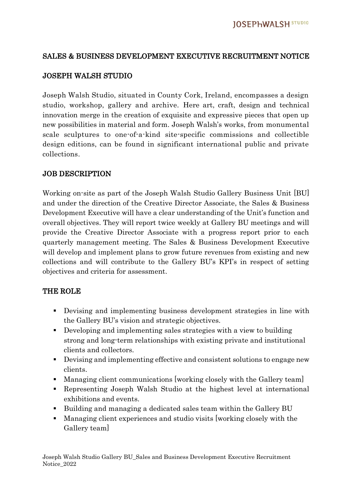### SALES & BUSINESS DEVELOPMENT EXECUTIVE RECRUITMENT NOTICE

### JOSEPH WALSH STUDIO

Joseph Walsh Studio, situated in County Cork, Ireland, encompasses a design studio, workshop, gallery and archive. Here art, craft, design and technical innovation merge in the creation of exquisite and expressive pieces that open up new possibilities in material and form. Joseph Walsh's works, from monumental scale sculptures to one-of-a-kind site-specific commissions and collectible design editions, can be found in significant international public and private collections.

#### JOB DESCRIPTION

Working on-site as part of the Joseph Walsh Studio Gallery Business Unit [BU] and under the direction of the Creative Director Associate, the Sales & Business Development Executive will have a clear understanding of the Unit's function and overall objectives. They will report twice weekly at Gallery BU meetings and will provide the Creative Director Associate with a progress report prior to each quarterly management meeting. The Sales & Business Development Executive will develop and implement plans to grow future revenues from existing and new collections and will contribute to the Gallery BU's KPI's in respect of setting objectives and criteria for assessment.

#### THE ROLE

- Devising and implementing business development strategies in line with the Gallery BU's vision and strategic objectives.
- Developing and implementing sales strategies with a view to building strong and long-term relationships with existing private and institutional clients and collectors.
- Devising and implementing effective and consistent solutions to engage new clients.
- Managing client communications [working closely with the Gallery team]
- Representing Joseph Walsh Studio at the highest level at international exhibitions and events.
- Building and managing a dedicated sales team within the Gallery BU
- Managing client experiences and studio visits [working closely with the Gallery team]